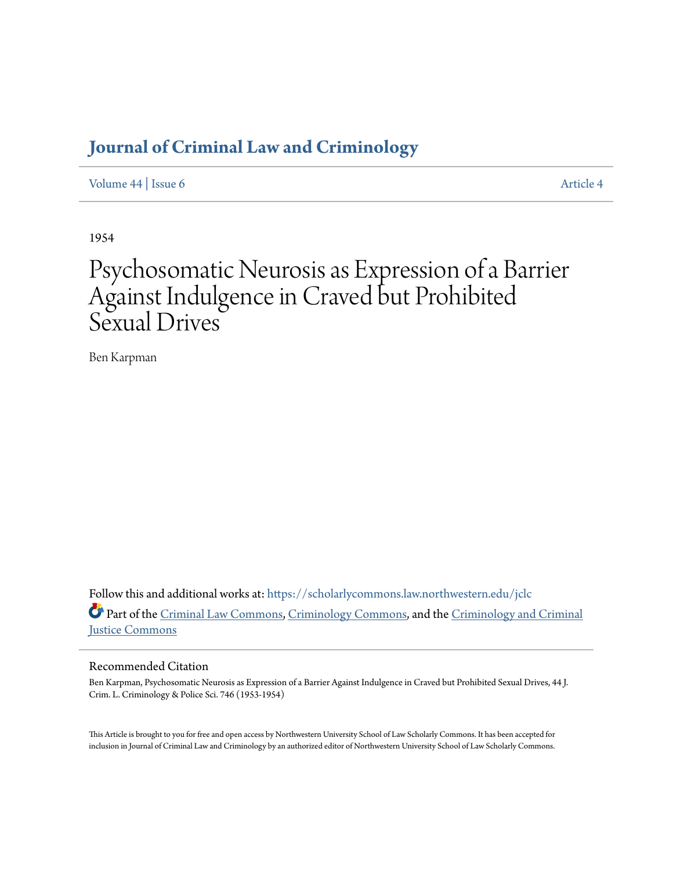# **[Journal of Criminal Law and Criminology](https://scholarlycommons.law.northwestern.edu/jclc?utm_source=scholarlycommons.law.northwestern.edu%2Fjclc%2Fvol44%2Fiss6%2F4&utm_medium=PDF&utm_campaign=PDFCoverPages)**

[Volume 44](https://scholarlycommons.law.northwestern.edu/jclc/vol44?utm_source=scholarlycommons.law.northwestern.edu%2Fjclc%2Fvol44%2Fiss6%2F4&utm_medium=PDF&utm_campaign=PDFCoverPages) | [Issue 6](https://scholarlycommons.law.northwestern.edu/jclc/vol44/iss6?utm_source=scholarlycommons.law.northwestern.edu%2Fjclc%2Fvol44%2Fiss6%2F4&utm_medium=PDF&utm_campaign=PDFCoverPages) [Article 4](https://scholarlycommons.law.northwestern.edu/jclc/vol44/iss6/4?utm_source=scholarlycommons.law.northwestern.edu%2Fjclc%2Fvol44%2Fiss6%2F4&utm_medium=PDF&utm_campaign=PDFCoverPages)

1954

# Psychosomatic Neurosis as Expression of a Barrier Against Indulgence in Craved but Prohibited Sexual Drives

Ben Karpman

Follow this and additional works at: [https://scholarlycommons.law.northwestern.edu/jclc](https://scholarlycommons.law.northwestern.edu/jclc?utm_source=scholarlycommons.law.northwestern.edu%2Fjclc%2Fvol44%2Fiss6%2F4&utm_medium=PDF&utm_campaign=PDFCoverPages) Part of the [Criminal Law Commons](http://network.bepress.com/hgg/discipline/912?utm_source=scholarlycommons.law.northwestern.edu%2Fjclc%2Fvol44%2Fiss6%2F4&utm_medium=PDF&utm_campaign=PDFCoverPages), [Criminology Commons](http://network.bepress.com/hgg/discipline/417?utm_source=scholarlycommons.law.northwestern.edu%2Fjclc%2Fvol44%2Fiss6%2F4&utm_medium=PDF&utm_campaign=PDFCoverPages), and the [Criminology and Criminal](http://network.bepress.com/hgg/discipline/367?utm_source=scholarlycommons.law.northwestern.edu%2Fjclc%2Fvol44%2Fiss6%2F4&utm_medium=PDF&utm_campaign=PDFCoverPages) [Justice Commons](http://network.bepress.com/hgg/discipline/367?utm_source=scholarlycommons.law.northwestern.edu%2Fjclc%2Fvol44%2Fiss6%2F4&utm_medium=PDF&utm_campaign=PDFCoverPages)

### Recommended Citation

Ben Karpman, Psychosomatic Neurosis as Expression of a Barrier Against Indulgence in Craved but Prohibited Sexual Drives, 44 J. Crim. L. Criminology & Police Sci. 746 (1953-1954)

This Article is brought to you for free and open access by Northwestern University School of Law Scholarly Commons. It has been accepted for inclusion in Journal of Criminal Law and Criminology by an authorized editor of Northwestern University School of Law Scholarly Commons.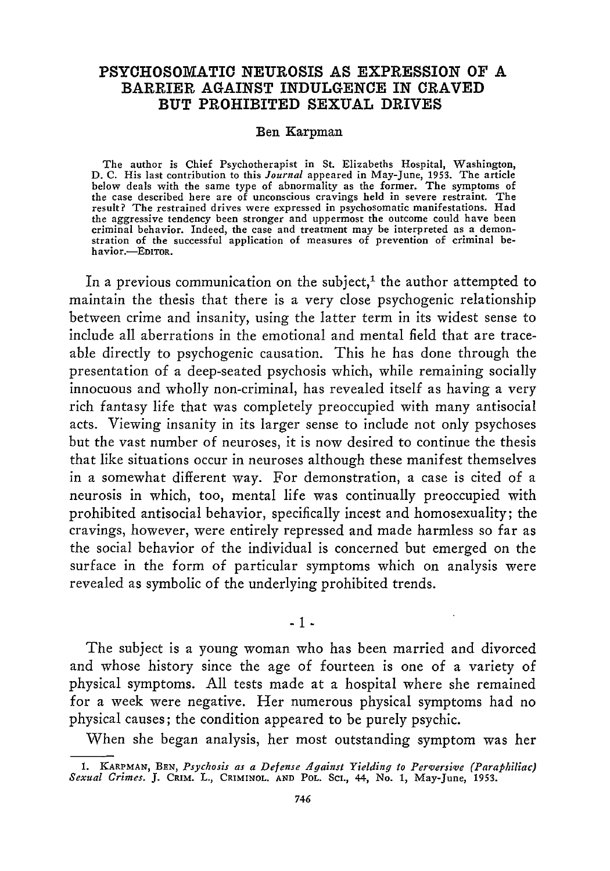## **PSYCHOSOMATIC NEUROSIS AS EXPRESSION OF A BARRIER AGAINST INDULGENCE IN CRAVED BUT PROHIBITED SEXUAL DRIVES**

#### **Ben Karpman**

The author is Chief Psychotherapist in St. Elizabeths Hospital, Washington, **D. C.** His last contribution to this *Journal* appeared in May-June, **1953.** The article below deals with the same type of abnormality as the former. The symptoms of<br>the case described here are of unconscious cravings held in severe restraint. The<br>result? The restrained drives were expressed in psychosomatic m the aggressive tendency been stronger and uppermost the outcome could have been criminal behavior. Indeed, the case and treatment may be interpreted as a demonstration of the successful application of measures of prevention of criminal be**h avior.-EDITOR.**

In a previous communication on the subject,<sup>1</sup> the author attempted to maintain the thesis that there is a very close psychogenic relationship between crime and insanity, using the latter term in its widest sense to include all aberrations in the emotional and mental field that are traceable directly to psychogenic causation. This he has done through the presentation of a deep-seated psychosis which, while remaining socially innocuous and wholly non-criminal, has revealed itself as having a very rich fantasy life that was completely preoccupied with many antisocial acts. Viewing insanity in its larger sense to include not only psychoses but the vast number of neuroses, it is now desired to continue the thesis that like situations occur in neuroses although these manifest themselves in a somewhat different way. For demonstration, a case is cited of a neurosis in which, too, mental life was continually preoccupied with prohibited antisocial behavior, specifically incest and homosexuality; the cravings, however, were entirely repressed and made harmless so far as the social behavior of the individual is concerned but emerged on the surface in the form of particular symptoms which on analysis were revealed as symbolic of the underlying prohibited trends.

#### $-1-$

The subject is a young woman who has been married and divorced and whose history since the age of fourteen is one of a variety of physical symptoms. All tests made at a hospital where she remained for a week were negative. Her numerous physical symptoms had no physical causes; the condition appeared to be purely psychic.

When she began analysis, her most outstanding symptom was her

<sup>1.</sup> KARPMAN, BEN, *Psychosis as a Defense Against Yielding to Perversive (Paraphiliac)*<br>Sexual Crimes. J. CRIM. L., CRIMINOL. AND POL. SCI., 44, No. 1, May-June, 1953.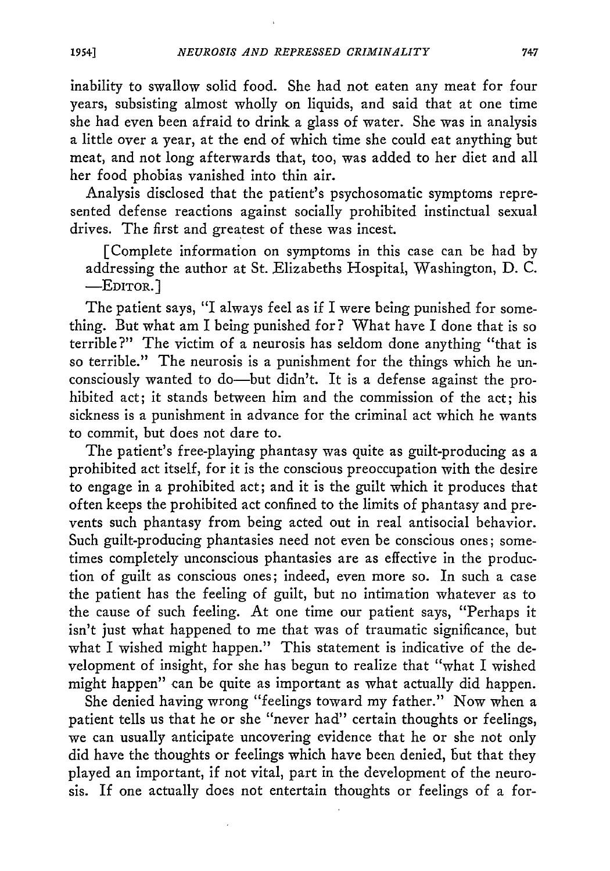inability to swallow solid food. She had not eaten any meat for four years, subsisting almost wholly on liquids, and said that at one time she had even been afraid to drink a glass of water. She was in analysis a little over a year, at the end of which time she could eat anything but meat, and not long afterwards that, too, was added to her diet and all her food phobias vanished into thin air.

Analysis disclosed that the patient's psychosomatic symptoms represented defense reactions against socially prohibited instinctual sexual drives. The first and greatest of these was incest.

[Complete information on symptoms in this case can be had by addressing the author at St. Elizabeths Hospital, Washington, D. C. -EDITOR.]

The patient says, "I always feel as if I were being punished for something. But what am I being punished for? What have I done that is so terrible?" The victim of a neurosis has seldom done anything "that is so terrible." The neurosis is a punishment for the things which he unconsciously wanted to do—but didn't. It is a defense against the prohibited act; it stands between him and the commission of the act; his sickness is a punishment in advance for the criminal act which he wants to commit, but does not dare to.

The patient's free-playing phantasy was quite as guilt-producing as a prohibited act itself, for it is the conscious preoccupation with the desire to engage in a prohibited act; and it is the guilt which it produces that often keeps the prohibited act confined to the limits of phantasy and prevents such phantasy from being acted out in real antisocial behavior. Such guilt-producing phantasies need not even be conscious ones; sometimes completely unconscious phantasies are as effective in the production of guilt as conscious ones; indeed, even more so. In such a case the patient has the feeling of guilt, but no intimation whatever as to the cause of such feeling. At one time our patient says, "Perhaps it isn't just what happened to me that was of traumatic significance, but what I wished might happen." This statement is indicative of the development of insight, for she has begun to realize that "what I wished might happen" can be quite as important as what actually did happen.

She denied having wrong "feelings toward my father." Now when a patient tells us that he or she "never had" certain thoughts or feelings, we can usually anticipate uncovering evidence that he or she not only did have the thoughts or feelings which have been denied, but that they played an important, if not vital, part in the development of the neurosis. If one actually does not entertain thoughts or feelings of a for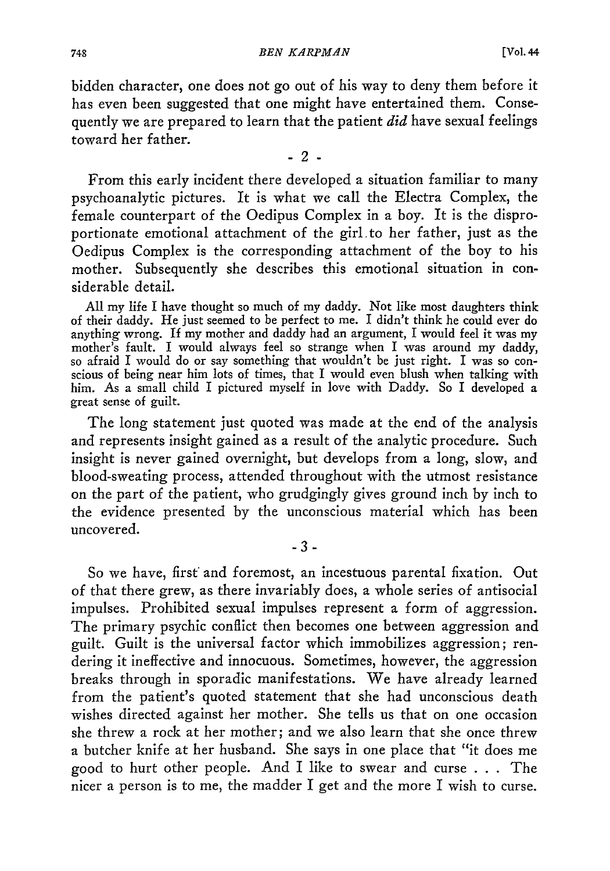bidden character, one does not go out of his way to deny them before it has even been suggested that one might have entertained them. Consequently we are prepared to learn that the patient *did* have sexual feelings toward her father.

-2-

From this early incident there developed a situation familiar to many psychoanalytic pictures. It is what we call the Electra Complex, the female counterpart of the Oedipus Complex in a boy. It is the disproportionate emotional attachment of the girl.to her father, just as the Oedipus Complex is the corresponding attachment of the boy to his mother. Subsequently she describes this emotional situation in considerable detail.

*All* my life I have thought so much of my daddy. Not like most daughters think of their daddy. He just seemed to be perfect to me. I didn't think he could ever do anything wrong. If my mother and daddy had an argument, I would feel it was my mother's fault. I would always feel so strange when I was around my daddy, so afraid I would do or say something that wouldn't be just right. I was so conscious of being near him lots of times, that I would even blush when talking with him. As a small child I pictured myself in love with Daddy. So I developed a great sense of guilt.

The long statement just quoted was made at the end of the analysis and represents insight gained as a result of the analytic procedure. Such insight is never gained overnight, but develops from a long, slow, and blood-sweating process, attended throughout with the utmost resistance on the part of the patient, who grudgingly gives ground inch by inch to the evidence presented by the unconscious material which has been uncovered.

-3-

So we have, first and foremost, an incestuous parental fixation. Out of that there grew, as there invariably does, a whole series of antisocial impulses. Prohibited sexual impulses represent a form of aggression. The primary psychic conflict then becomes one between aggression and guilt. Guilt is the universal factor which immobilizes aggression; rendering it ineffective and innocuous. Sometimes, however, the aggression breaks through in sporadic manifestations. We have already learned from the patient's quoted statement that she had unconscious death wishes directed against her mother. She tells us that on one occasion she threw a rock at her mother; and we also learn that she once threw a butcher knife at her husband. She says in one place that "it does me good to hurt other people. And I like to swear and curse . . . The nicer a person is to me, the madder I get and the more I wish to curse.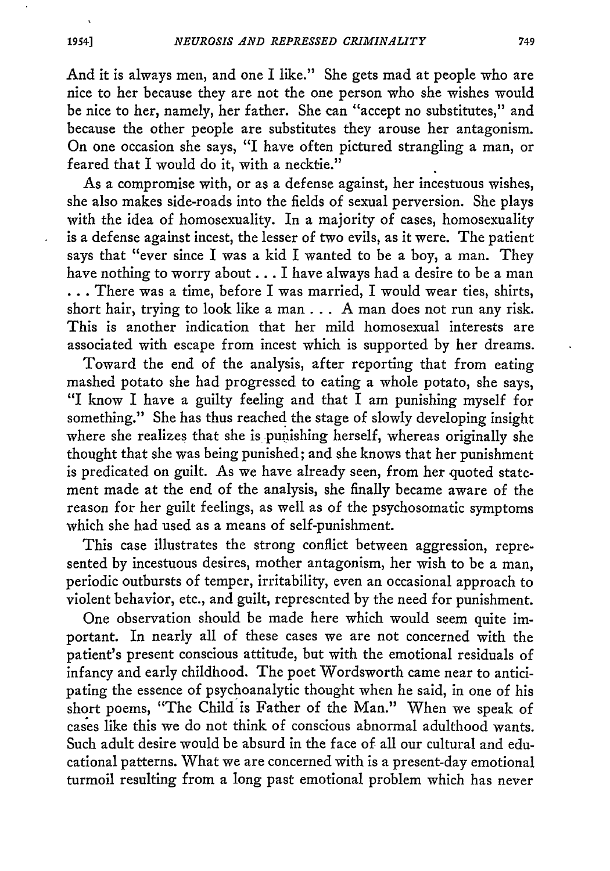And it is always men, and one I like." She gets mad at people who are nice to her because they are not the one person who she wishes would be nice to her, namely, her father. She can "accept no substitutes," and because the other people are substitutes they arouse her antagonism. On one occasion she says, "I have often pictured strangling a man, or feared that I would do it, with a necktie."

As a compromise with, or as a defense against, her incestuous wishes, she also makes side-roads into the fields of sexual perversion. She plays with the idea of homosexuality. In a majority of cases, homosexuality is a defense against incest, the lesser of two evils, as it were. The patient says that "ever since I was a kid I wanted to be a boy, a man. They have nothing to worry about... I have always had a desire to be a man **...** There was a time, before I was married, I would wear ties, shirts, short hair, trying to look like a man **... A** man does not run any risk. This is another indication that her mild homosexual interests are associated with escape from incest which is supported by her dreams.

Toward the end of the analysis, after reporting that from eating mashed potato she had progressed to eating a whole potato, she says, "I know I have a guilty feeling and that I am punishing myself for something." She has thus reached the stage of slowly developing insight where she realizes that she is punishing herself, whereas originally she thought that she was being punished; and she knows that her punishment is predicated on guilt. As we have already seen, from her quoted statement made at the end of the analysis, she finally became aware of the reason for her guilt feelings, as well as of the psychosomatic symptoms which she had used as a means of self-punishment.

This case illustrates the strong conflict between aggression, represented by incestuous desires, mother antagonism, her wish to be a man, periodic outbursts of temper, irritability, even an occasional approach to violent behavior, etc., and guilt, represented by the need for punishment.

One observation should be made here which would seem quite important. In nearly all of these cases we are not concerned with the patient's present conscious attitude, but with the emotional residuals of infancy and early childhood. The poet Wordsworth came near to anticipating the essence of psychoanalytic thought when he said, in one of his short poems, "The Child is Father of the Man." When we speak of cases like this we do not think of conscious abnormal adulthood wants. Such adult desire would be absurd in the face of all our cultural and educational patterns. What we are concerned with is a present-day emotional turmoil resulting from a long past emotional problem which has never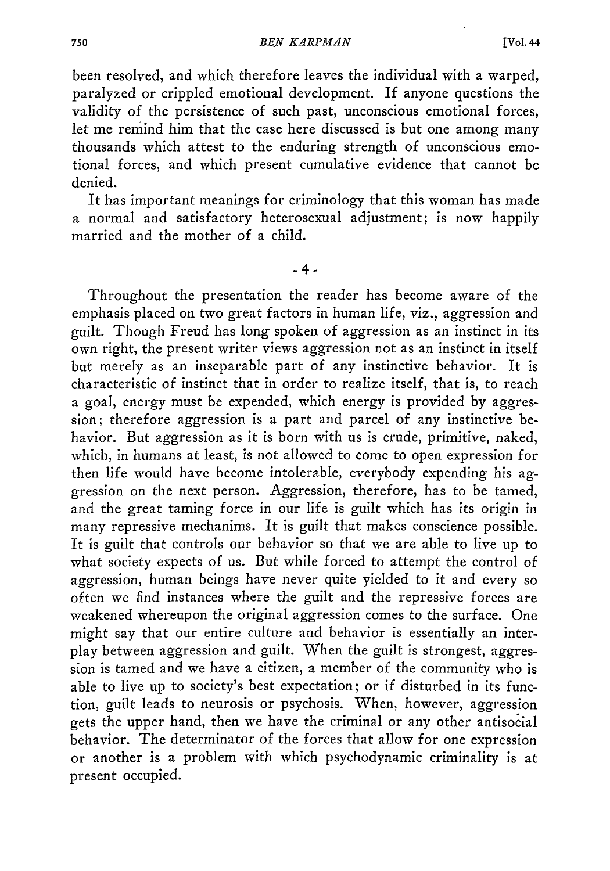been resolved, and which therefore leaves the individual with a warped, paralyzed or crippled emotional development. If anyone questions the validity of the persistence of such past, unconscious emotional forces, let me remind him that the case here discussed is but one among many thousands which attest to the enduring strength of unconscious emotional forces, and which present cumulative evidence that cannot be denied.

It has important meanings for criminology that this woman has made a normal and satisfactory heterosexual adjustment; is now happily married and the mother of a child.

-4-

Throughout the presentation the reader has become aware of the emphasis placed on two great factors in human life, viz., aggression and guilt. Though Freud has long spoken of aggression as an instinct in its own right, the present writer views aggression not as an instinct in itself but merely as an inseparable part of any instinctive behavior. It is characteristic of instinct that in order to realize itself, that is, to reach a goal, energy must be expended, which energy is provided by aggression; therefore aggression is a part and parcel of any instinctive behavior. But aggression as it is born with us is crude, primitive, naked, which, in humans at least, is not allowed to come to open expression for then life would have become intolerable, everybody expending his aggression on the next person. Aggression, therefore, has to be tamed, and the great taming force in our life is guilt which has its origin in many repressive mechanims. It is guilt that makes conscience possible. It is guilt that controls our behavior so that we are able to live up to what society expects of us. But while forced to attempt the control of aggression, human beings have never quite yielded to it and every so often we find instances where the guilt and the repressive forces are weakened whereupon the original aggression comes to the surface. One might say that our entire culture and behavior is essentially an interplay between aggression and guilt. When the guilt is strongest, aggression is tamed and we have a citizen, a member of the community who is able to live up to society's best expectation; or if disturbed in its function, guilt leads to neurosis or psychosis. When, however, aggression gets the upper hand, then we have the criminal or any other antisocial behavior. The determinator of the forces that allow for one expression or another is a problem with which psychodynamic criminality is at present occupied.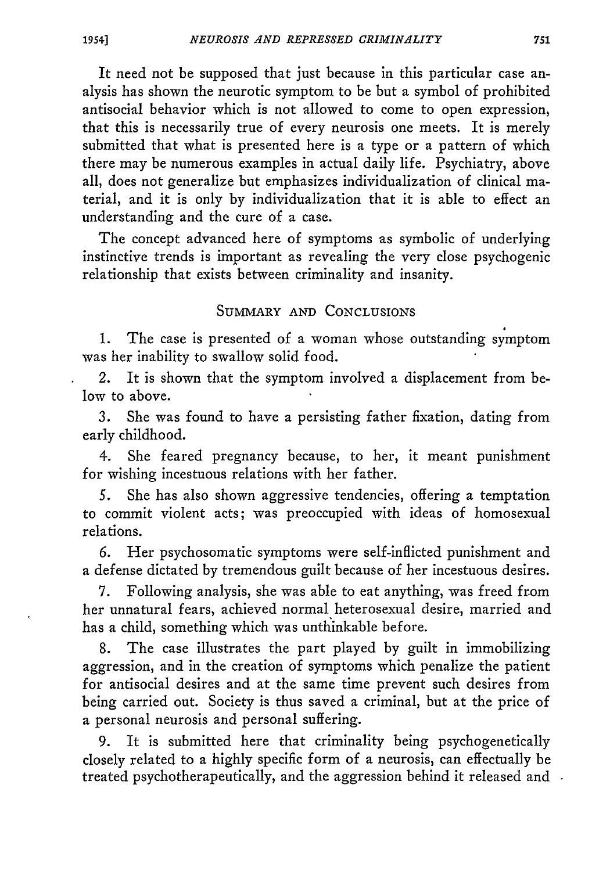It need not be supposed that just because in this particular case analysis has shown the neurotic symptom to be but a symbol of prohibited antisocial behavior which is not allowed to come to open expression, that this is necessarily true of every neurosis one meets. It is merely submitted that what is presented here is a type or a pattern of which there may be numerous examples in actual daily life. Psychiatry, above all, does not generalize but emphasizes individualization of clinical material, and it is only by individualization that it is able to effect an understanding and the cure of a case.

The concept advanced here of symptoms as symbolic of underlying instinctive trends is important as revealing the very close psychogenic relationship that exists between criminality and insanity.

#### SUMMARY **AND CONCLUSIONS**

1. The case is presented of a woman whose outstanding symptom was her inability to swallow solid food.

2. It is shown that the symptom involved a displacement from below to above.

3. She was found to have a persisting father fixation, dating from early childhood.

4. She feared pregnancy because, to her, it meant punishment for wishing incestuous relations with her father.

*5.* She has also shown aggressive tendencies, offering a temptation to commit violent acts; was preoccupied with ideas of homosexual relations.

6. Her psychosomatic symptoms were self-inflicted punishment and a defense dictated by tremendous guilt because of her incestuous desires.

7. Following analysis, she was able to eat anything, was freed from her unnatural fears, achieved normal heterosexual desire, married and has a child, something which was unthinkable before.

8. The case illustrates the part played by guilt in immobilizing aggression, and in the creation of symptoms which penalize the patient for antisocial desires and at the same time prevent such desires from being carried out. Society is thus saved a criminal, but at the price of a personal neurosis and personal suffering.

9. It is submitted here that criminality being psychogenetically closely related to a highly specific form of a neurosis, can effectually be treated psychotherapeutically, and the aggression behind it released and